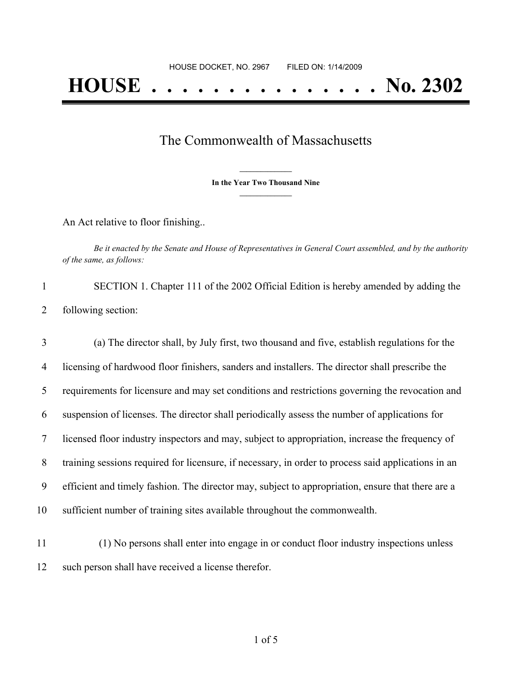## The Commonwealth of Massachusetts

**\_\_\_\_\_\_\_\_\_\_\_\_\_\_\_ In the Year Two Thousand Nine \_\_\_\_\_\_\_\_\_\_\_\_\_\_\_**

An Act relative to floor finishing..

Be it enacted by the Senate and House of Representatives in General Court assembled, and by the authority *of the same, as follows:*

1 SECTION 1. Chapter 111 of the 2002 Official Edition is hereby amended by adding the 2 following section:

 (a) The director shall, by July first, two thousand and five, establish regulations for the licensing of hardwood floor finishers, sanders and installers. The director shall prescribe the requirements for licensure and may set conditions and restrictions governing the revocation and suspension of licenses. The director shall periodically assess the number of applications for licensed floor industry inspectors and may, subject to appropriation, increase the frequency of training sessions required for licensure, if necessary, in order to process said applications in an efficient and timely fashion. The director may, subject to appropriation, ensure that there are a sufficient number of training sites available throughout the commonwealth.

11 (1) No persons shall enter into engage in or conduct floor industry inspections unless 12 such person shall have received a license therefor.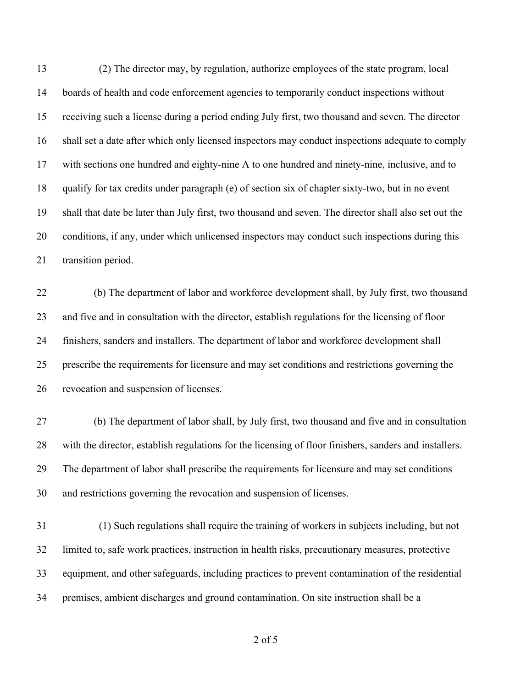(2) The director may, by regulation, authorize employees of the state program, local boards of health and code enforcement agencies to temporarily conduct inspections without receiving such a license during a period ending July first, two thousand and seven. The director shall set a date after which only licensed inspectors may conduct inspections adequate to comply with sections one hundred and eighty-nine A to one hundred and ninety-nine, inclusive, and to qualify for tax credits under paragraph (e) of section six of chapter sixty-two, but in no event shall that date be later than July first, two thousand and seven. The director shall also set out the conditions, if any, under which unlicensed inspectors may conduct such inspections during this transition period.

 (b) The department of labor and workforce development shall, by July first, two thousand and five and in consultation with the director, establish regulations for the licensing of floor finishers, sanders and installers. The department of labor and workforce development shall prescribe the requirements for licensure and may set conditions and restrictions governing the revocation and suspension of licenses.

 (b) The department of labor shall, by July first, two thousand and five and in consultation with the director, establish regulations for the licensing of floor finishers, sanders and installers. The department of labor shall prescribe the requirements for licensure and may set conditions and restrictions governing the revocation and suspension of licenses.

 (1) Such regulations shall require the training of workers in subjects including, but not limited to, safe work practices, instruction in health risks, precautionary measures, protective equipment, and other safeguards, including practices to prevent contamination of the residential premises, ambient discharges and ground contamination. On site instruction shall be a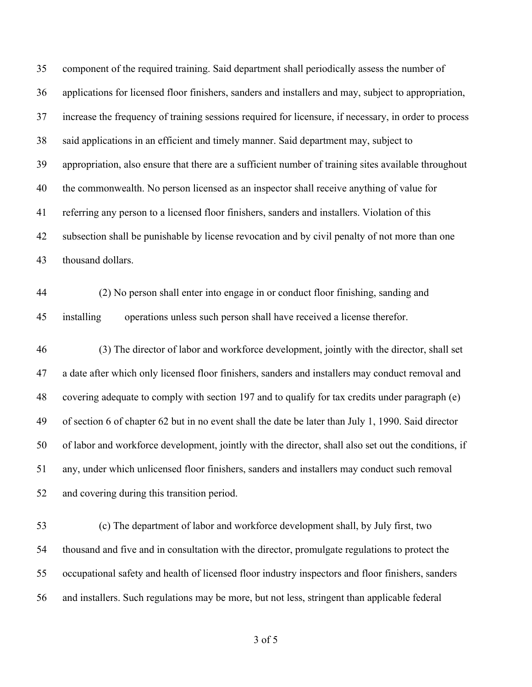component of the required training. Said department shall periodically assess the number of applications for licensed floor finishers, sanders and installers and may, subject to appropriation, increase the frequency of training sessions required for licensure, if necessary, in order to process said applications in an efficient and timely manner. Said department may, subject to appropriation, also ensure that there are a sufficient number of training sites available throughout the commonwealth. No person licensed as an inspector shall receive anything of value for referring any person to a licensed floor finishers, sanders and installers. Violation of this subsection shall be punishable by license revocation and by civil penalty of not more than one thousand dollars.

 (2) No person shall enter into engage in or conduct floor finishing, sanding and installing operations unless such person shall have received a license therefor.

 (3) The director of labor and workforce development, jointly with the director, shall set a date after which only licensed floor finishers, sanders and installers may conduct removal and covering adequate to comply with section 197 and to qualify for tax credits under paragraph (e) of section 6 of chapter 62 but in no event shall the date be later than July 1, 1990. Said director of labor and workforce development, jointly with the director, shall also set out the conditions, if any, under which unlicensed floor finishers, sanders and installers may conduct such removal and covering during this transition period.

 (c) The department of labor and workforce development shall, by July first, two thousand and five and in consultation with the director, promulgate regulations to protect the occupational safety and health of licensed floor industry inspectors and floor finishers, sanders and installers. Such regulations may be more, but not less, stringent than applicable federal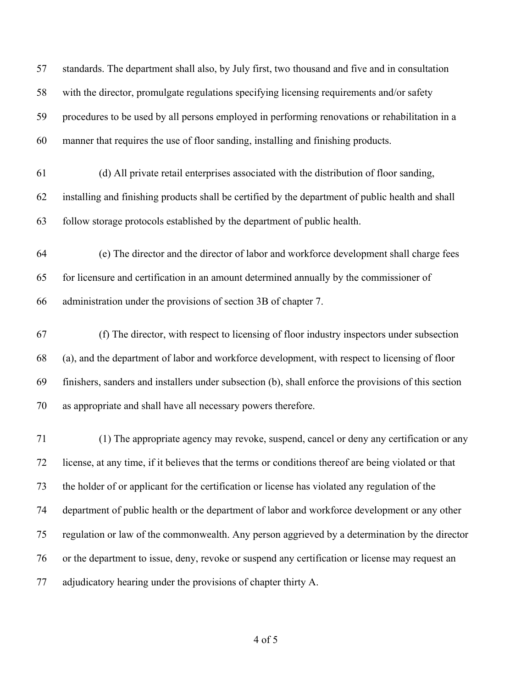| 57 | standards. The department shall also, by July first, two thousand and five and in consultation       |
|----|------------------------------------------------------------------------------------------------------|
| 58 | with the director, promulgate regulations specifying licensing requirements and/or safety            |
| 59 | procedures to be used by all persons employed in performing renovations or rehabilitation in a       |
| 60 | manner that requires the use of floor sanding, installing and finishing products.                    |
| 61 | (d) All private retail enterprises associated with the distribution of floor sanding,                |
| 62 | installing and finishing products shall be certified by the department of public health and shall    |
| 63 | follow storage protocols established by the department of public health.                             |
| 64 | (e) The director and the director of labor and workforce development shall charge fees               |
| 65 | for licensure and certification in an amount determined annually by the commissioner of              |
| 66 | administration under the provisions of section 3B of chapter 7.                                      |
| 67 | (f) The director, with respect to licensing of floor industry inspectors under subsection            |
| 68 | (a), and the department of labor and workforce development, with respect to licensing of floor       |
| 69 | finishers, sanders and installers under subsection (b), shall enforce the provisions of this section |
| 70 | as appropriate and shall have all necessary powers therefore.                                        |
| 71 | (1) The appropriate agency may revoke, suspend, cancel or deny any certification or any              |
| 72 | license, at any time, if it believes that the terms or conditions thereof are being violated or that |
| 73 | the holder of or applicant for the certification or license has violated any regulation of the       |
| 74 | department of public health or the department of labor and workforce development or any other        |
| 75 | regulation or law of the commonwealth. Any person aggrieved by a determination by the director       |
| 76 | or the department to issue, deny, revoke or suspend any certification or license may request an      |
| 77 | adjudicatory hearing under the provisions of chapter thirty A.                                       |